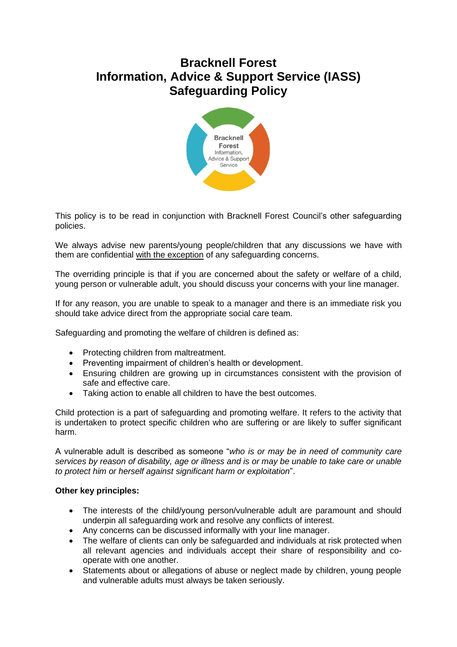## **Bracknell Forest Information, Advice & Support Service (IASS) Safeguarding Policy**



This policy is to be read in conjunction with Bracknell Forest Council's other safeguarding policies.

We always advise new parents/young people/children that any discussions we have with them are confidential with the exception of any safeguarding concerns.

The overriding principle is that if you are concerned about the safety or welfare of a child, young person or vulnerable adult, you should discuss your concerns with your line manager.

If for any reason, you are unable to speak to a manager and there is an immediate risk you should take advice direct from the appropriate social care team.

Safeguarding and promoting the welfare of children is defined as:

- Protecting children from maltreatment.
- Preventing impairment of children's health or development.
- Ensuring children are growing up in circumstances consistent with the provision of safe and effective care.
- Taking action to enable all children to have the best outcomes.

Child protection is a part of safeguarding and promoting welfare. It refers to the activity that is undertaken to protect specific children who are suffering or are likely to suffer significant harm.

A vulnerable adult is described as someone "*who is or may be in need of community care services by reason of disability, age or illness and is or may be unable to take care or unable to protect him or herself against significant harm or exploitation*".

## **Other key principles:**

- The interests of the child/young person/vulnerable adult are paramount and should underpin all safeguarding work and resolve any conflicts of interest.
- Any concerns can be discussed informally with your line manager.
- The welfare of clients can only be safeguarded and individuals at risk protected when all relevant agencies and individuals accept their share of responsibility and cooperate with one another.
- Statements about or allegations of abuse or neglect made by children, young people and vulnerable adults must always be taken seriously.